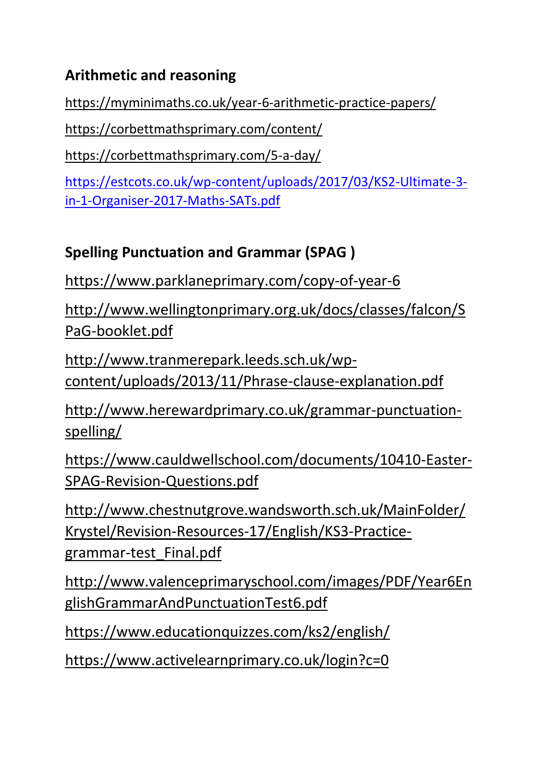## **Arithmetic and reasoning**

<https://myminimaths.co.uk/year-6-arithmetic-practice-papers/>

<https://corbettmathsprimary.com/content/>

<https://corbettmathsprimary.com/5-a-day/>

[https://estcots.co.uk/wp-content/uploads/2017/03/KS2-Ultimate-3](https://estcots.co.uk/wp-content/uploads/2017/03/KS2-Ultimate-3-in-1-Organiser-2017-Maths-SATs.pdf) [in-1-Organiser-2017-Maths-SATs.pdf](https://estcots.co.uk/wp-content/uploads/2017/03/KS2-Ultimate-3-in-1-Organiser-2017-Maths-SATs.pdf)

# **Spelling Punctuation and Grammar (SPAG )**

<https://www.parklaneprimary.com/copy-of-year-6>

[http://www.wellingtonprimary.org.uk/docs/classes/falcon/S](http://www.wellingtonprimary.org.uk/docs/classes/falcon/SPaG-booklet.pdf) [PaG-booklet.pdf](http://www.wellingtonprimary.org.uk/docs/classes/falcon/SPaG-booklet.pdf)

[http://www.tranmerepark.leeds.sch.uk/wp](http://www.tranmerepark.leeds.sch.uk/wp-content/uploads/2013/11/Phrase-clause-explanation.pdf)[content/uploads/2013/11/Phrase-clause-explanation.pdf](http://www.tranmerepark.leeds.sch.uk/wp-content/uploads/2013/11/Phrase-clause-explanation.pdf)

[http://www.herewardprimary.co.uk/grammar-punctuation](http://www.herewardprimary.co.uk/grammar-punctuation-spelling/)[spelling/](http://www.herewardprimary.co.uk/grammar-punctuation-spelling/)

[https://www.cauldwellschool.com/documents/10410-Easter-](https://www.cauldwellschool.com/documents/10410-Easter-SPAG-Revision-Questions.pdf)[SPAG-Revision-Questions.pdf](https://www.cauldwellschool.com/documents/10410-Easter-SPAG-Revision-Questions.pdf)

[http://www.chestnutgrove.wandsworth.sch.uk/MainFolder/](http://www.chestnutgrove.wandsworth.sch.uk/MainFolder/Krystel/Revision-Resources-17/English/KS3-Practice-grammar-test_Final.pdf) [Krystel/Revision-Resources-17/English/KS3-Practice](http://www.chestnutgrove.wandsworth.sch.uk/MainFolder/Krystel/Revision-Resources-17/English/KS3-Practice-grammar-test_Final.pdf)[grammar-test\\_Final.pdf](http://www.chestnutgrove.wandsworth.sch.uk/MainFolder/Krystel/Revision-Resources-17/English/KS3-Practice-grammar-test_Final.pdf)

[http://www.valenceprimaryschool.com/images/PDF/Year6En](http://www.valenceprimaryschool.com/images/PDF/Year6EnglishGrammarAndPunctuationTest6.pdf) [glishGrammarAndPunctuationTest6.pdf](http://www.valenceprimaryschool.com/images/PDF/Year6EnglishGrammarAndPunctuationTest6.pdf)

<https://www.educationquizzes.com/ks2/english/>

<https://www.activelearnprimary.co.uk/login?c=0>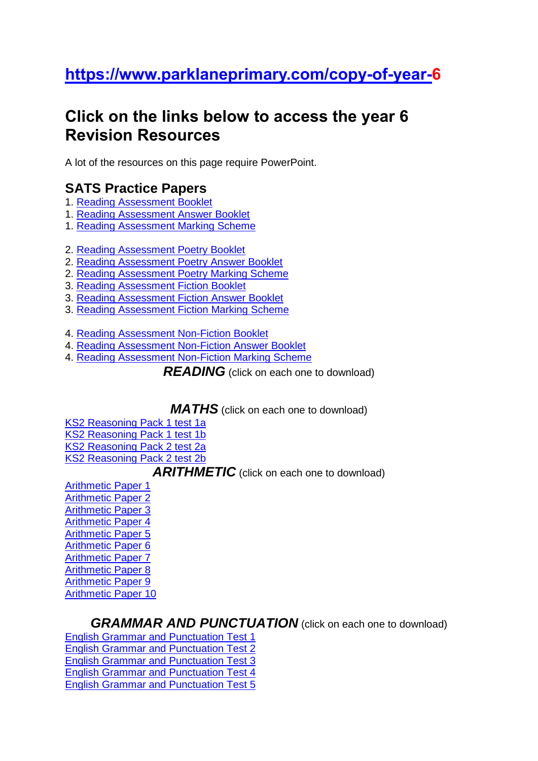## **[https://www.parklaneprimary.com/copy-of-year-6](https://www.parklaneprimary.com/copy-of-year-)**

## **Click on the links below to access the year 6 Revision Resources**

A lot of the resources on this page require PowerPoint.

### **SATS Practice Papers**

- 1. Reading [Assessment](https://www.parklaneprimary.com/_files/ugd/e38c00_8bfd8b8c5e5247f6af38ebe91fe02ce5.pdf) Booklet
- 1. Reading [Assessment](https://www.parklaneprimary.com/_files/ugd/e38c00_9e768a108bdb42fd8405c93f8241dba4.pdf) Answer Booklet
- 1. Reading [Assessment](https://www.parklaneprimary.com/_files/ugd/e38c00_242ed0e8b9884bc4a8529601dd8e8111.pdf) Marking Scheme
- 2. Reading [Assessment](https://www.parklaneprimary.com/_files/ugd/e38c00_5481d231dcdd4bb79c5f6859a02c33ea.pdf) Poetry Booklet
- 2. Reading [Assessment](https://www.parklaneprimary.com/_files/ugd/e38c00_f9e72ccd3eec4036b76180747c068784.pdf) Poetry Answer Booklet
- 2. Reading [Assessment](https://www.parklaneprimary.com/_files/ugd/e38c00_b8e3aa134e5943229d4078463ad11688.pdf) Poetry Marking Scheme
- 3. Reading [Assessment](https://www.parklaneprimary.com/_files/ugd/e38c00_5acbbd2f29ff4c688432614fce22b4b8.pdf) Fiction Booklet
- 3. Reading [Assessment](https://www.parklaneprimary.com/_files/ugd/e38c00_15cd5bb803e047e0979151027f3812ec.pdf) Fiction Answer Booklet
- 3. Reading [Assessment](https://www.parklaneprimary.com/_files/ugd/e38c00_79740a6869df457596a1b6d8c68bae52.pdf) Fiction Marking Scheme
- 4. Reading [Assessment](https://www.parklaneprimary.com/_files/ugd/e38c00_628e0808c4b34bd28e6403b6e6114215.pdf) Non-Fiction Booklet
- 4. Reading [Assessment](https://www.parklaneprimary.com/_files/ugd/e38c00_3a870445d460469dac5da7998107b8fc.pdf) Non-Fiction Answer Booklet
- 4. Reading [Assessment](https://www.parklaneprimary.com/_files/ugd/e38c00_654fa9a6d889460cb023e576cf1c9e3c.pdf) Non-Fiction Marking Scheme

**READING** (click on each one to download)

*MATHS* (click on each one to download)

KS2 [Reasoning](https://www.parklaneprimary.com/_files/ugd/e38c00_4ce19d83e0e443caa657807f98c15316.pdf) Pack 1 test 1a

KS2 [Reasoning](https://www.parklaneprimary.com/_files/ugd/e38c00_ceecca1f290642cfac7796c56378d0dd.pdf) Pack 1 test 1b

KS2 [Reasoning](https://www.parklaneprimary.com/_files/ugd/e38c00_e73ba30cdba54b75baebd1e7f55c6946.pdf) Pack 2 test 2a

KS2 [Reasoning](https://www.parklaneprimary.com/_files/ugd/e38c00_42f05c96ec07448da183dd5c0a00b4ab.pdf) Pack 2 test 2b

### **ARITHMETIC** (click on each one to download)

[Arithmetic](https://www.parklaneprimary.com/_files/ugd/e38c00_68c6cebcfa0d4f08b8258138866d13b3.pdf) Paper 1 **[Arithmetic](https://www.parklaneprimary.com/_files/ugd/e38c00_f7cc9936eacc4fbe88cd9eb66f16d1eb.pdf) Paper 2** [Arithmetic](https://www.parklaneprimary.com/_files/ugd/e38c00_6bbf7ce166374e018b42aa2ed8b77ed9.pdf) Paper 3 [Arithmetic](https://www.parklaneprimary.com/_files/ugd/e38c00_9e0c4d2ecd7b438f87653265310a6d58.pdf) Paper 4 [Arithmetic](https://www.parklaneprimary.com/_files/ugd/e38c00_988246d317fd4fdd9ba2f15b75b3466d.pdf) Paper 5 **[Arithmetic](https://www.parklaneprimary.com/_files/ugd/e38c00_3e2fe2e90a754db88544122359480137.pdf) Paper 6** [Arithmetic](https://www.parklaneprimary.com/_files/ugd/e38c00_4b5de2a329c545578ce8a74217b106a0.pdf) Paper 7 [Arithmetic](https://www.parklaneprimary.com/_files/ugd/e38c00_06b7c518036a4155a21fbfb98de62689.pdf) Paper 8 [Arithmetic](https://www.parklaneprimary.com/_files/ugd/e38c00_06aff4c4417a48dba5e3fd15d35e4a3e.pdf) Paper 9 [Arithmetic](https://www.parklaneprimary.com/_files/ugd/e38c00_49e3c486e9f241a3bee28aa46410a0df.pdf) Paper 10

### *GRAMMAR AND PUNCTUATION* (click on each one to download)

English Grammar and [Punctuation](https://www.parklaneprimary.com/_files/ugd/e38c00_8df6f31bfed84c228fd5117ac987197d.pdf) Test 1 English Grammar and [Punctuation](https://www.parklaneprimary.com/_files/ugd/e38c00_20f35191ab2c44bea1d67ba562cf39f8.pdf) Test 2 English Grammar and [Punctuation](https://www.parklaneprimary.com/_files/ugd/e38c00_350ef93a4e95411eba6cebc59bd8b872.pdf) Test 3 English Grammar and [Punctuation](https://www.parklaneprimary.com/_files/ugd/e38c00_e5f64c6d17584e3ea88d03ca6ad451da.pdf) Test 4 English Grammar and [Punctuation](https://www.parklaneprimary.com/_files/ugd/e38c00_c527ac1c9f24438e9c2f3a37460604bd.pdf) Test 5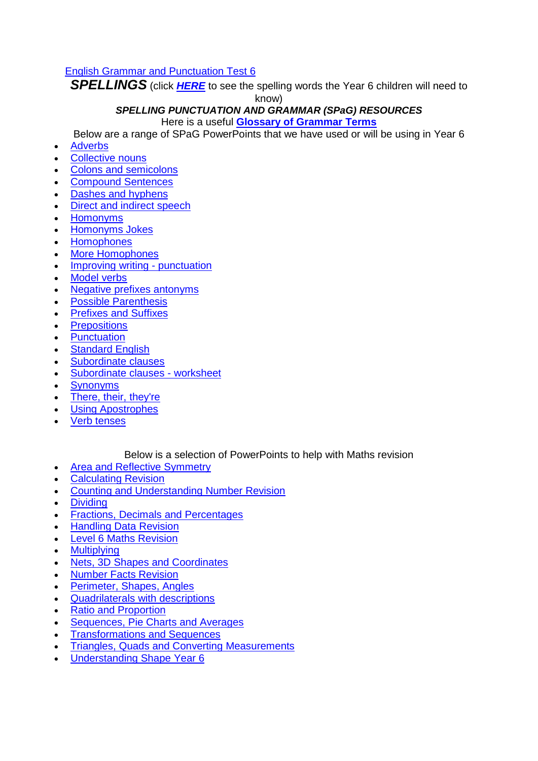#### English Grammar and [Punctuation](https://www.parklaneprimary.com/_files/ugd/e38c00_2031e48d72254a8dac980bb20d0acc64.pdf) Test 6

*SPELLINGS* (click *[HERE](https://www.parklaneprimary.com/_files/ugd/e38c00_c36df2ea80bc485e850d536ab61fb483.pdf)* to see the spelling words the Year 6 children will need to

know)

## *SPELLING PUNCTUATION AND GRAMMAR (SPaG) RESOURCES*

Here is a useful **Glossary of [Grammar](https://www.parklaneprimary.com/_files/ugd/e38c00_63db4aa9be8246bd8319c7abf504c723.pdf) Terms**

Below are a range of SPaG PowerPoints that we have used or will be using in Year 6

- [Adverbs](https://6f613532-6298-4122-b822-1e44cf3ca13b.filesusr.com/ugd/e38c00_247a7ecb40d7430990b7d906e963b71f.ppt?dn=Adverbs.ppt)
- [Collective](https://6f613532-6298-4122-b822-1e44cf3ca13b.filesusr.com/ugd/e38c00_e9383022c2e74414a42218d337d00d0d.ppt?dn=collective_nouns.ppt) nouns
- Colons and [semicolons](https://6f613532-6298-4122-b822-1e44cf3ca13b.filesusr.com/ugd/e38c00_9accbc8599de4362b525479774c112ed.ppt?dn=colons_and_semicolons.ppt)
- [Compound](https://6f613532-6298-4122-b822-1e44cf3ca13b.filesusr.com/ugd/e38c00_1d48783f696b426a858dcb79a4b41536.ppt?dn=Compound-Sentences.ppt) Sentences
- Dashes and [hyphens](https://6f613532-6298-4122-b822-1e44cf3ca13b.filesusr.com/ugd/e38c00_0ada8e3c852d45b0a20774b39e9f6d00.ppt?dn=dashes_and_hyphens.ppt)
- Direct and indirect [speech](https://6f613532-6298-4122-b822-1e44cf3ca13b.filesusr.com/ugd/e38c00_f166b5b89b644b29a3ba1caae8a2d43d.ppt?dn=Direct_and_indirect-speech.ppt)
- [Homonyms](https://6f613532-6298-4122-b822-1e44cf3ca13b.filesusr.com/ugd/e38c00_284cdcaa23dd4a2ebb15be0578fc50bf.ppt?dn=homonyms.ppt)
- [Homonyms](https://6f613532-6298-4122-b822-1e44cf3ca13b.filesusr.com/ugd/e38c00_47a869d7a763434a95d1942041a3f18b.ppt?dn=homonyms-jokes.ppt) Jokes
- **[Homophones](https://6f613532-6298-4122-b822-1e44cf3ca13b.filesusr.com/ugd/e38c00_5413cb16888b4f13b10e3d40f17276ca.ppt?dn=Homophones.ppt)**
- More [Homophones](https://6f613532-6298-4122-b822-1e44cf3ca13b.filesusr.com/ugd/e38c00_4aae4f44e12d4712b2d3ca87527cc30d.ppt?dn=More_Homophones.ppt)
- Improving writing [punctuation](https://6f613532-6298-4122-b822-1e44cf3ca13b.filesusr.com/ugd/e38c00_71d14f9b0cdc40c5bec6a161a754a550.ppt?dn=Improving_writing_-_punctuation%20(1).ppt)
- [Model](https://6f613532-6298-4122-b822-1e44cf3ca13b.filesusr.com/ugd/e38c00_1bbbb864701a4a86b6833b78771a7ee3.pptx?dn=MODAL-VERBS.pptx) verbs
- Negative prefixes [antonyms](https://6f613532-6298-4122-b822-1e44cf3ca13b.filesusr.com/ugd/e38c00_63cb1cf0ea54467aa287cef9a77bf10e.ppt?dn=negative_prefixes_antonyms.ppt)
- Possible [Parenthesis](https://6f613532-6298-4122-b822-1e44cf3ca13b.filesusr.com/ugd/e38c00_2ef95095d29b4d9f977817a23bf3d480.ppt?dn=Possible-Parenthesis.ppt)
- [Prefixes](https://6f613532-6298-4122-b822-1e44cf3ca13b.filesusr.com/ugd/e38c00_28d86dcf1b754fbdb93fab53d8dd585b.ppt?dn=Prefixes-and-Suffixes%20(1).ppt) and Suffixes
- **[Prepositions](https://6f613532-6298-4122-b822-1e44cf3ca13b.filesusr.com/ugd/e38c00_3a2cfcef8c4e434298edca630675fcaf.ppt?dn=Prepositions.ppt)**
- **[Punctuation](https://6f613532-6298-4122-b822-1e44cf3ca13b.filesusr.com/ugd/e38c00_6d717ef519c8471099d649a529558985.ppt?dn=punctuation.ppt)**
- [Standard](https://6f613532-6298-4122-b822-1e44cf3ca13b.filesusr.com/ugd/e38c00_52ace7acf44f47e9bea484fe0c9ee652.ppt?dn=standard_english.ppt) English
- [Subordinate](https://6f613532-6298-4122-b822-1e44cf3ca13b.filesusr.com/ugd/e38c00_134ef6cfa6d6408ca03acb26e1caa5e4.pptx?dn=Subordinate-clauses.pptx) clauses
- [Subordinate](https://6f613532-6298-4122-b822-1e44cf3ca13b.filesusr.com/ugd/e38c00_0b06e68eacc7425c89dfac23579df1fd.pptx?dn=Subordinate-clauses-Worksheet.pptx) clauses worksheet
- **[Synonyms](https://6f613532-6298-4122-b822-1e44cf3ca13b.filesusr.com/ugd/e38c00_a1475c52c7a544ff82306d6ede7d6aae.ppt?dn=Synonyms%20(1).ppt)**
- There, their, [they're](https://6f613532-6298-4122-b822-1e44cf3ca13b.filesusr.com/ugd/e38c00_193898c9024042d6a82a8ab79c95fedd.ppt?dn=there_their_theyre.ppt)
- Using [Apostrophes](https://6f613532-6298-4122-b822-1e44cf3ca13b.filesusr.com/ugd/e38c00_beff3fd5f3804b61b08ef20604ca2cbd.ppt?dn=Using-Apostrophes.ppt)
- Verb [tenses](https://6f613532-6298-4122-b822-1e44cf3ca13b.filesusr.com/ugd/e38c00_5370ebc78df6486fb1da069ec5185ff3.ppt?dn=verbtensesppt.ppt)

#### Below is a selection of PowerPoints to help with Maths revision

- Area and Reflective [Symmetry](https://6f613532-6298-4122-b822-1e44cf3ca13b.filesusr.com/ugd/e38c00_61e608188b0b47c7805f85c4f0db7d06.ppt?dn=Area-and-Reflective-Symmetry.ppt)
- [Calculating](https://6f613532-6298-4122-b822-1e44cf3ca13b.filesusr.com/ugd/e38c00_c22645cbd5fe4017824614f989e0699f.ppt?dn=Calculating-Revision.ppt) Revision
- Counting and [Understanding](https://6f613532-6298-4122-b822-1e44cf3ca13b.filesusr.com/ugd/e38c00_c63d67bc02474b2e94e076a885500fb5.ppt?dn=Counting-and-Understanding-Number-Revision1.ppt) Number Revision
- **[Dividing](https://6f613532-6298-4122-b822-1e44cf3ca13b.filesusr.com/ugd/e38c00_7c48e442e797486abd8ec056f33a3f20.ppt?dn=Dividing.ppt)**
- Fractions, Decimals and [Percentages](https://6f613532-6298-4122-b822-1e44cf3ca13b.filesusr.com/ugd/e38c00_a51d656aa6d1470295ac945ab8495477.ppt?dn=Fractions-Decimals-and-Percentages.ppt)
- [Handling](https://6f613532-6298-4122-b822-1e44cf3ca13b.filesusr.com/ugd/e38c00_923007b6c923458384cf40748bbde3e0.ppt?dn=Handling-Data-Revision.ppt) Data Revision
- Level 6 Maths [Revision](https://6f613532-6298-4122-b822-1e44cf3ca13b.filesusr.com/ugd/e38c00_33146d3670bd4a808e2350fdcaa6d7c1.ppt?dn=Mathematics_Level_6_Revision-feb-2015.ppt)
- **[Multiplying](https://6f613532-6298-4122-b822-1e44cf3ca13b.filesusr.com/ugd/e38c00_297ba11d1e0a4afc9515fcf4da4edc7a.ppt?dn=Multiplying.ppt)**
- Nets, 3D Shapes and [Coordinates](https://6f613532-6298-4122-b822-1e44cf3ca13b.filesusr.com/ugd/e38c00_d0ae6d90a39f4b4891dd1423f801a7a8.ppt?dn=Nets-3d-shapes-and-Coordinates.ppt)
- Number Facts [Revision](https://6f613532-6298-4122-b822-1e44cf3ca13b.filesusr.com/ugd/e38c00_f84bf0b8bcb64ff8be38ef682bae60ca.ppt?dn=Number-Facts-Revision1.ppt)
- [Perimeter,](https://6f613532-6298-4122-b822-1e44cf3ca13b.filesusr.com/ugd/e38c00_d8ab11fdc57f4f0494ba8c6e3080a06c.ppt?dn=Perimeter-Shapes-Angles.ppt) Shapes, Angles
- [Quadrilaterals](https://6f613532-6298-4122-b822-1e44cf3ca13b.filesusr.com/ugd/e38c00_12bf5b2de49b4a0e8c76d82a2c3653b6.doc?dn=Quadrilaterals_with_descriptions.doc) with descriptions
- Ratio and [Proportion](https://6f613532-6298-4122-b822-1e44cf3ca13b.filesusr.com/ugd/e38c00_15006735fe4448918b382de63a5e20a6.ppt?dn=Ratio-And-Proportion.ppt)
- [Sequences,](https://6f613532-6298-4122-b822-1e44cf3ca13b.filesusr.com/ugd/e38c00_a3933c13d39c4b54afa6cfa1a7075166.ppt?dn=Sequences-Pie-Charts-and-Averages.ppt) Pie Charts and Averages
- [Transformations](https://6f613532-6298-4122-b822-1e44cf3ca13b.filesusr.com/ugd/e38c00_a8530e8da90e400c8dc17ed513265a51.ppt?dn=Transformations-and-Sequences.ppt) and Sequences
- Triangles, Quads and Converting [Measurements](https://6f613532-6298-4122-b822-1e44cf3ca13b.filesusr.com/ugd/e38c00_53101e7c0618438290c3f26549562f72.ppt?dn=Triangles-Quads-and-Converting-Measurements.ppt)
- [Understanding](https://6f613532-6298-4122-b822-1e44cf3ca13b.filesusr.com/ugd/e38c00_5dc3243ef30442159b1d7bff8825d4bf.ppt?dn=Understanding-Shape-Year-6.ppt) Shape Year 6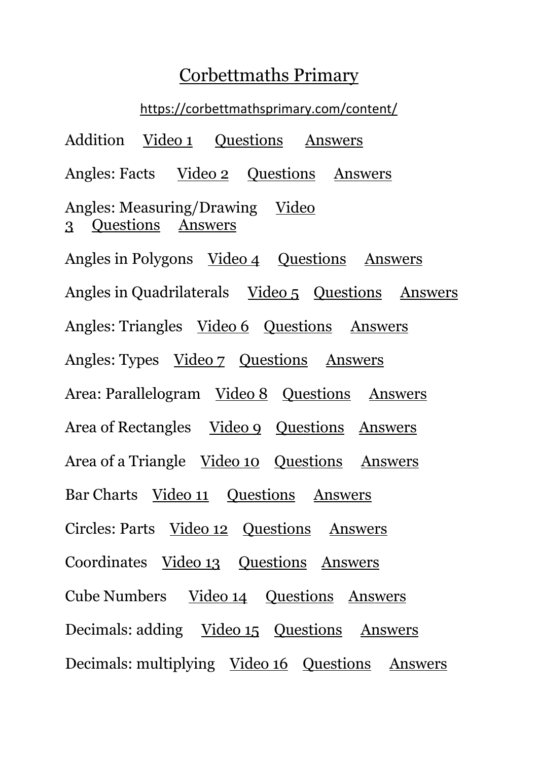### [Corbettmaths Primary](https://corbettmathsprimary.com/)

<https://corbettmathsprimary.com/content/>

Addition [Video 1](https://corbettmathsprimary.com/2018/05/30/addition-video/) Ouestions [Answers](http://corbettmathsprimary.com/2018/07/15/addition-answers/) Angles: Facts [Video 2](https://corbettmathsprimary.com/2018/07/19/angle-facts-video/) [Questions](https://corbettmathsprimary.com/2018/07/19/angles-questions/) [Answers](https://corbettmathsprimary.com/2018/07/19/angles-answers/) Angles: Measuring/Drawing Video [3](https://corbettmathsprimary.com/2018/07/18/measuring-and-drawing-angles-videos/) [Questions](https://corbettmathsprimary.com/2018/07/18/measuring-and-drawing-angles-questions/) [Answers](https://corbettmathsprimary.com/2018/07/18/measuring-and-drawing-angles-answers/) Angles in Polygons [Video 4](https://corbettmathsprimary.com/2018/07/16/angles-in-polygons-video/) [Questions](https://corbettmathsprimary.com/2018/07/16/angles-in-polygons-questions/) [Answers](https://corbettmathsprimary.com/2018/07/17/angles-in-polygons-answers/) Angles in Quadrilaterals [Video 5](https://corbettmathsprimary.com/2018/07/17/angles-in-quadrilaterals-video/) [Questions](https://corbettmathsprimary.com/2018/07/17/angles-in-quadrilaterals-questions/) [Answers](https://corbettmathsprimary.com/2018/07/17/angles-in-quadrilaterals-answers/) Angles: Triangles [Video 6](https://corbettmathsprimary.com/2018/05/30/angles-in-a-triangle-video/) [Questions](https://corbettmathsprimary.com/2018/05/31/angles-in-a-triangle-questions/) [Answers](https://corbettmathsprimary.com/2018/07/15/angles-in-a-triangle-answers/) Angles: Types [Video 7](https://corbettmathsprimary.com/2018/05/30/types-of-angle-video/) [Questions](https://corbettmathsprimary.com/2018/05/31/types-of-angles-questions/) [Answers](https://corbettmathsprimary.com/2018/07/15/types-of-angle-answers/) Area: Parallelogram [Video 8](https://corbettmathsprimary.com/2018/05/30/area-of-a-parallelogram/) [Questions](https://corbettmathsprimary.com/2018/05/31/area-of-a-parallelogram-questions/) [Answers](https://corbettmathsprimary.com/2018/07/15/area-of-a-parallelogram-answers/) Area of Rectangles [Video 9](https://corbettmathsprimary.com/2018/05/30/area-of-a-rectangle-video/) [Questions](https://corbettmathsprimary.com/2018/05/31/area-of-rectangles-questions/) [Answers](https://corbettmathsprimary.com/2018/07/15/area-of-a-rectangle-answers/) Area of a Triangle [Video 10](http://corbettmathsprimary.com/2018/07/15/area-of-a-triangle-video/) [Questions](https://corbettmathsprimary.com/2018/07/15/area-of-a-triangle-questions/) [Answers](https://corbettmathsprimary.com/2018/07/15/area-of-a-triangle-answers/) Bar Charts [Video 11](https://corbettmathsprimary.com/2018/06/01/bar-charts-video/) [Questions](https://corbettmathsprimary.com/2018/06/01/bar-chart-questions/) [Answers](https://corbettmathsprimary.com/2018/07/15/bar-chart-answers/) Circles: Parts [Video 12](https://corbettmathsprimary.com/2018/06/01/parts-of-the-circle-video/) [Questions](https://corbettmathsprimary.com/2018/06/01/parts-of-the-circle-questions/) [Answers](https://corbettmathsprimary.com/2018/07/15/parts-of-the-circle-answers/) Coordinates [Video 13](https://corbettmathsprimary.com/2018/07/16/coordinates-video/) [Questions](https://corbettmathsprimary.com/2018/07/16/coordinates-questions/) [Answers](https://corbettmathsprimary.com/2018/07/17/coordinates-answers/) Cube Numbers [Video 14](https://corbettmathsprimary.com/2018/07/15/cube-numbers-video/) [Questions](https://corbettmathsprimary.com/2018/07/15/cube-numbers-worksheet/) [Answers](https://corbettmathsprimary.com/2018/07/15/cube-numbers-answers/) Decimals: adding [Video 15](http://corbettmathsprimary.com/2018/07/15/adding-decimals-video/) [Questions](https://corbettmathsprimary.com/2018/07/15/adding-decimals-questions/) [Answers](https://corbettmathsprimary.com/2018/07/15/adding-decimals-answers/) Decimals: multiplying [Video 16](https://corbettmathsprimary.com/2018/07/20/multiplying-decimals-video/) [Questions](https://corbettmathsprimary.com/2018/07/20/multiplying-decimals-questions/) [Answers](https://corbettmathsprimary.com/2018/07/20/multiplying-decimals-answers/)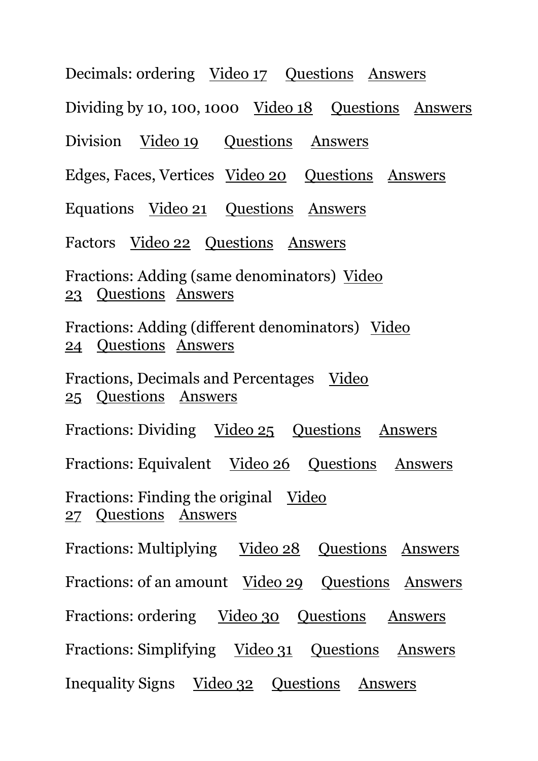Decimals: ordering [Video 17](https://corbettmathsprimary.com/2018/07/16/ordering-decimals-video/) [Questions](https://corbettmathsprimary.com/2018/07/16/ordering-decimals-questions/) [Answers](https://corbettmathsprimary.com/2018/07/17/ordering-decimals-answers/) Dividing by 10, 100, 1000 <u>[Video 18](https://corbettmathsprimary.com/2018/07/24/multiplying-and-dividing-by-10-100-and-1000-videos/)</u> [Questions](https://corbettmathsprimary.com/2018/07/24/multiplying-and-dividing-by-10-100-1000-questions/) [Answers](https://corbettmathsprimary.com/2018/07/24/multiplying-and-dividing-by-10-100-1000-answers/) Division [Video 19](https://corbettmathsprimary.com/2018/05/30/division-video/) Ouestions [Answers](https://corbettmathsprimary.com/2018/07/15/division-answers/) Edges, Faces, Vertices [Video 20](https://corbettmathsprimary.com/2018/05/30/edges-faces-vertices-video/) [Questions](https://corbettmathsprimary.com/2018/06/01/3d-shapes-questions/) [Answers](https://corbettmathsprimary.com/2018/07/15/3d-shapes-answers/) Equations [Video 21](https://corbettmathsprimary.com/2018/07/16/equations-video/) [Questions](https://corbettmathsprimary.com/2018/07/16/equations-questions/) [Answers](https://corbettmathsprimary.com/2018/07/17/equations-answers/) Factors [Video 22](https://corbettmathsprimary.com/2018/07/20/factors-video/) [Questions](https://corbettmathsprimary.com/2018/07/20/factors-questions/) [Answers](https://corbettmathsprimary.com/2018/07/20/factors-answers/) Fractions: Adding (same denominators) [Video](https://corbettmathsprimary.com/2018/07/16/adding-fractions-1-video/)  [23](https://corbettmathsprimary.com/2018/07/16/adding-fractions-1-video/) [Questions](https://corbettmathsprimary.com/2018/07/16/adding-fractions-1-questions/) [Answers](https://corbettmathsprimary.com/2018/07/17/adding-fractions-1-answers/) Fractions: Adding (different denominators) [Video](https://corbettmathsprimary.com/2018/07/16/adding-fractions-2-video/)  [24](https://corbettmathsprimary.com/2018/07/16/adding-fractions-2-video/) [Questions](https://corbettmathsprimary.com/2018/07/16/adding-fractions-2-questions/) [Answers](https://corbettmathsprimary.com/2018/07/17/adding-fractions-2-answers/) Fractions, Decimals and Percentages [Video](https://corbettmathsprimary.com/2018/07/24/fractions-decimals-and-percentages-video/)  [25](https://corbettmathsprimary.com/2018/07/24/fractions-decimals-and-percentages-video/) [Questions](https://corbettmathsprimary.com/2018/07/24/fractions-decimals-and-percentages-questions/) [Answers](https://corbettmathsprimary.com/2018/07/24/fractions-decimals-and-percentages-answers/) Fractions: Dividing [Video 25](https://corbettmathsprimary.com/2018/07/24/dividing-fractions-video/) [Questions](https://corbettmathsprimary.com/2018/07/24/dividing-fractions-questions/) [Answers](https://corbettmathsprimary.com/2018/07/24/dividing-fractions-answers/) Fractions: Equivalent [Video 26](https://corbettmathsprimary.com/2018/07/24/equivalent-fractions-and-simplifying-fractions-videos/) [Questions](https://corbettmathsprimary.com/2018/07/24/equivalent-fractions-and-simplifying-fractions-questions/) [Answers](https://corbettmathsprimary.com/2018/07/24/equivalent-fractions-and-simplifying-fractions-answers/) Fractions: Finding the original [Video](https://corbettmathsprimary.com/2018/07/24/finding-the-original-video/)  [27](https://corbettmathsprimary.com/2018/07/24/finding-the-original-video/) [Questions](https://corbettmathsprimary.com/2018/07/24/finding-the-original-questions/) [Answers](https://corbettmathsprimary.com/2018/07/24/finding-the-original-answers/) Fractions: Multiplying [Video 28](https://corbettmathsprimary.com/2018/07/18/multiplying-fractions-video/) [Questions](https://corbettmathsprimary.com/2018/07/18/multiplying-fractions-questions/) [Answers](https://corbettmathsprimary.com/2018/07/18/multiplying-fractions-answers/) Fractions: of an amount [Video 29](https://corbettmathsprimary.com/2018/07/17/fractions-of-amounts-video/) [Questions](https://corbettmathsprimary.com/2018/07/17/fractions-of-amounts-questions/) [Answers](https://corbettmathsprimary.com/2018/07/17/fractions-of-amounts-answers/) Fractions: ordering [Video 30](https://corbettmathsprimary.com/2018/07/21/ordering-fractions-video/) [Questions](https://corbettmathsprimary.com/2018/07/21/ordering-fractions-questions/) [Answers](https://corbettmathsprimary.com/2018/07/21/ordering-fractions-answers/) Fractions: Simplifying [Video 31](https://corbettmathsprimary.com/2018/07/24/equivalent-fractions-and-simplifying-fractions-videos/) [Questions](https://corbettmathsprimary.com/2018/07/24/equivalent-fractions-and-simplifying-fractions-questions/) [Answers](https://corbettmathsprimary.com/2018/07/24/equivalent-fractions-and-simplifying-fractions-answers/) Inequality Signs [Video 32](https://corbettmathsprimary.com/2018/07/20/inequality-signs-video/) [Questions](https://corbettmathsprimary.com/2018/07/20/inequality-signs-questions/) [Answers](https://corbettmathsprimary.com/2018/07/20/inequality-signs-answers/)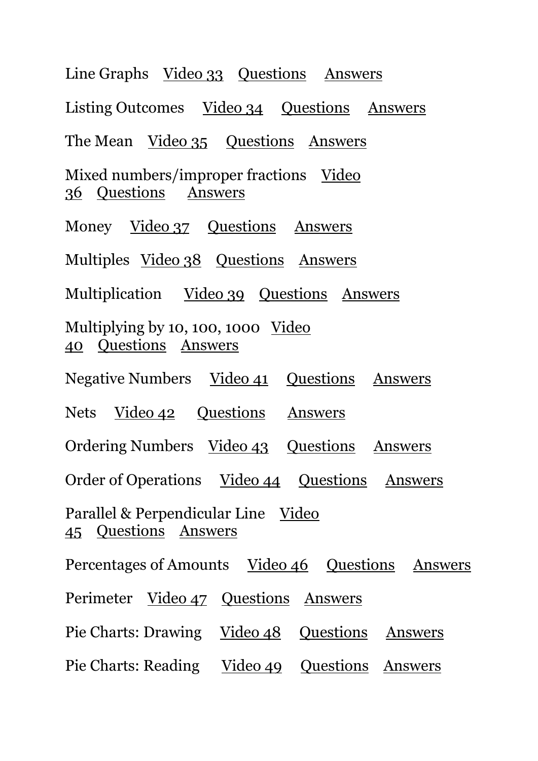Line Graphs [Video 33](https://corbettmathsprimary.com/2018/07/19/line-graphs-video/) [Questions](https://corbettmathsprimary.com/2018/07/19/line-graphs-questions/) [Answers](https://corbettmathsprimary.com/2018/07/19/line-graphs-answers/) Listing Outcomes [Video 34](https://corbettmathsprimary.com/2018/07/20/listing-outcomes-video/) [Questions](https://corbettmathsprimary.com/2018/07/20/listing-outcomes-questions/) [Answers](https://corbettmathsprimary.com/2018/07/20/listing-outcomes-answers/) The Mean [Video 35](https://corbettmathsprimary.com/2018/07/17/the-mean-video/) Ouestions [Answers](https://corbettmathsprimary.com/2018/07/17/the-mean-answers/) Mixed numbers/improper fractions Video [36](https://corbettmathsprimary.com/2018/07/21/mixed-numbers-video/) [Questions](https://corbettmathsprimary.com/2018/07/21/mixed-numbers-questions/) [Answers](https://corbettmathsprimary.com/2018/07/21/mixed-numbers-answers/) Money [Video 37](https://corbettmathsprimary.com/2018/07/24/money-video/) [Questions](https://corbettmathsprimary.com/2018/07/24/money-questions/) [Answers](https://corbettmathsprimary.com/2018/07/24/money-answers/) Multiples [Video 38](https://corbettmathsprimary.com/2018/07/17/multiples-video/) [Questions](https://corbettmathsprimary.com/2018/07/17/multiples-questions/) [Answers](https://corbettmathsprimary.com/2018/07/17/multiples-answers/) Multiplication [Video 39](https://corbettmathsprimary.com/2018/07/21/multiplication-video/) [Questions](https://corbettmathsprimary.com/2018/07/21/multiplication-questions/) [Answers](https://corbettmathsprimary.com/2018/07/21/multiplication-answers/) Multiplying by 10, 100, 1000 <u>Video</u> [40](https://corbettmathsprimary.com/2018/07/24/multiplying-and-dividing-by-10-100-and-1000-videos/) [Questions](https://corbettmathsprimary.com/2018/07/24/multiplying-and-dividing-by-10-100-1000-questions/) [Answers](https://corbettmathsprimary.com/2018/07/24/multiplying-and-dividing-by-10-100-1000-answers/) Negative Numbers [Video 41](https://corbettmathsprimary.com/2018/07/31/negative-numbers-video/) [Questions](https://corbettmathsprimary.com/2018/07/31/negative-numbers-questions/) [Answers](https://corbettmathsprimary.com/2018/07/31/negative-numbers-answers/) Nets [Video 42](https://corbettmathsprimary.com/2018/05/30/nets-video/) [Questions](https://corbettmathsprimary.com/2018/05/31/nets-questions/) [Answers](https://corbettmathsprimary.com/2018/07/15/nets-answers/) Ordering Numbers [Video 43](https://corbettmathsprimary.com/2018/07/18/ordering-numbers-video/) [Questions](https://corbettmathsprimary.com/2018/07/18/ordering-numbers-questions/) [Answers](https://corbettmathsprimary.com/2018/07/18/ordering-numbers-answers/) Order of Operations [Video 44](https://corbettmathsprimary.com/2018/07/17/order-of-operations-video/) [Questions](https://corbettmathsprimary.com/2018/07/17/order-of-operations-questions/) [Answers](https://corbettmathsprimary.com/2018/07/17/order-of-operations-answers/) Parallel & Perpendicular Line Video [45](https://corbettmathsprimary.com/2018/07/19/parallel-perpendicular-lines-video/) [Questions](https://corbettmathsprimary.com/2018/07/19/parallel-perpendicular-lines-questions/) [Answers](https://corbettmathsprimary.com/2018/07/19/parallel-perpendicular-lines-answers/) Percentages of Amounts [Video 46](https://corbettmathsprimary.com/2018/07/18/percentages-of-amounts-video/) [Questions](https://corbettmathsprimary.com/2018/07/18/percentages-of-amounts-questions/) [Answers](https://corbettmathsprimary.com/2018/07/18/percentages-of-amounts-answers/) Perimeter [Video 47](https://corbettmathsprimary.com/2018/07/17/perimeter-video/) [Questions](https://corbettmathsprimary.com/2018/07/17/perimeter-questions/) [Answers](https://corbettmathsprimary.com/2018/07/17/perimeter-answers/) Pie Charts: Drawing [Video 48](https://corbettmathsprimary.com/2018/07/31/drawing-pie-charts/) [Questions](https://corbettmathsprimary.com/2018/07/31/pie-charts-questions/) [Answers](https://corbettmathsprimary.com/2018/07/31/pie-charts-answers/) Pie Charts: Reading [Video 49](https://corbettmathsprimary.com/2018/07/31/reading-pie-charts/) [Questions](https://corbettmathsprimary.com/2018/07/31/pie-charts-questions/) [Answers](https://corbettmathsprimary.com/2018/07/31/pie-charts-answers/)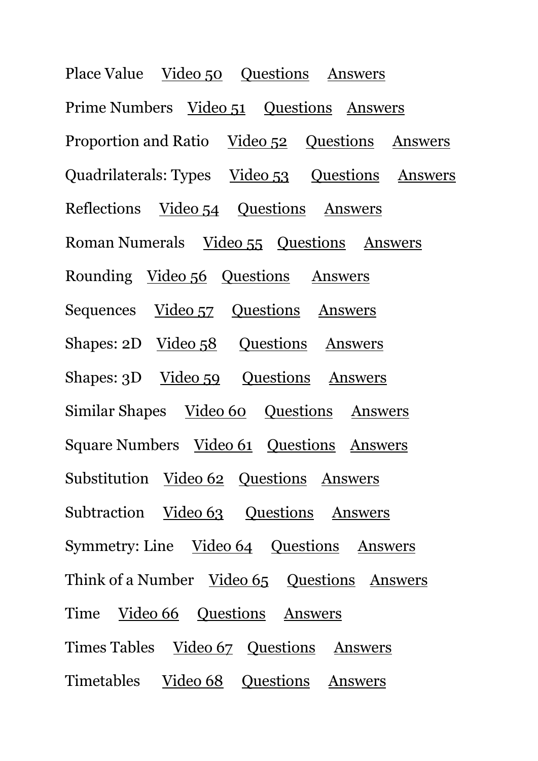Place Value [Video 50](https://corbettmathsprimary.com/2018/07/31/place-value-video/) [Questions](https://corbettmathsprimary.com/2018/07/31/place-value-questions/) [Answers](https://corbettmathsprimary.com/2018/07/31/place-value-answers/) Prime Numbers [Video 51](https://corbettmathsprimary.com/2018/07/17/prime-numbers-video/) [Questions](https://corbettmathsprimary.com/2018/07/17/prime-numbers-questions/) [Answers](https://corbettmathsprimary.com/2018/07/17/prime-numbers-answers/) Proportion and Ratio [Video 52](https://corbettmathsprimary.com/2018/07/31/proportion-video/) [Questions](https://corbettmathsprimary.com/2018/07/31/proportion-questions/) [Answers](https://corbettmathsprimary.com/2018/07/31/proportion-answers/) Quadrilaterals: Types [Video 53](https://corbettmathsprimary.com/2018/05/30/quadrilaterals-video/) [Questions](https://corbettmathsprimary.com/2018/05/31/types-of-quadrilaterals-questions/) [Answers](https://corbettmathsprimary.com/2018/07/15/quadrilaterals-answers/) Reflections [Video 54](https://corbettmathsprimary.com/2018/07/31/reflections-video/) [Questions](https://corbettmathsprimary.com/2018/07/31/reflections-questions/) [Answers](https://corbettmathsprimary.com/2018/07/31/reflections-answers/) Roman Numerals [Video 55](https://corbettmathsprimary.com/2018/05/30/roman-numerals-video/) [Questions](https://corbettmathsprimary.com/2018/05/31/roman-numerals-questions/) [Answers](https://corbettmathsprimary.com/2018/07/15/roman-numerals-answers/) Rounding [Video 56](https://corbettmathsprimary.com/2018/07/31/rounding-video/) [Questions](https://corbettmathsprimary.com/2018/07/31/rounding-questions/) [Answers](https://corbettmathsprimary.com/2018/07/31/rounding-answers/) Sequences [Video 57](https://corbettmathsprimary.com/2018/07/31/sequences-video/) [Questions](https://corbettmathsprimary.com/2018/07/31/sequences-questions/) [Answers](https://corbettmathsprimary.com/2018/07/31/sequences-answers/) Shapes: 2D [Video 58](https://corbettmathsprimary.com/2018/07/18/2d-shapes-video/) [Questions](https://corbettmathsprimary.com/2018/07/18/2d-shapes-questions/) [Answers](https://corbettmathsprimary.com/2018/07/18/2d-shapes-answers/) Shapes: 3D [Video 59](https://corbettmathsprimary.com/2018/06/01/names-of-3d-shapes-video/) [Questions](https://corbettmathsprimary.com/2018/06/01/3d-shapes-questions/) [Answers](https://corbettmathsprimary.com/2018/07/15/3d-shapes-answers/) Similar Shapes [Video 60](https://corbettmathsprimary.com/2018/07/24/similar-shapes-video/) [Questions](https://corbettmathsprimary.com/2018/07/24/similar-shapes-questions/) [Answers](https://corbettmathsprimary.com/2018/07/24/similar-shapes-answers/) Square Numbers [Video 61](https://corbettmathsprimary.com/2018/07/17/square-numbers-video/) [Questions](https://corbettmathsprimary.com/2018/07/17/square-numbers-questions/) [Answers](https://corbettmathsprimary.com/2018/07/17/square-numbers-answers/) Substitution [Video 62](https://corbettmathsprimary.com/2018/07/19/substitution-video/) [Questions](https://corbettmathsprimary.com/2018/07/19/substitution-questions/) [Answers](https://corbettmathsprimary.com/2018/07/19/substitution-answers/) Subtraction [Video 63](https://corbettmathsprimary.com/2018/05/30/subtraction-video/) [Questions](https://corbettmathsprimary.com/2018/05/31/subtraction/) [Answers](https://corbettmathsprimary.com/2018/07/15/subtraction-answers/) Symmetry: Line [Video 64](https://corbettmathsprimary.com/2018/07/24/line-symmetry-video/) [Questions](https://corbettmathsprimary.com/2018/07/24/line-symmetry-questions/) [Answers](https://corbettmathsprimary.com/2018/07/24/line-symmetry-answers/) Think of a Number [Video 65](https://corbettmathsprimary.com/2018/07/24/think-of-a-number-video/) Ouestions [Answers](https://corbettmathsprimary.com/2018/07/24/think-of-a-number-answers/) Time [Video 66](https://corbettmathsprimary.com/2018/07/31/time-video/) [Questions](https://corbettmathsprimary.com/2018/07/31/time-questions/) [Answers](https://corbettmathsprimary.com/2018/07/31/time-answers/) Times Tables [Video 67](https://corbettmathsprimary.com/2018/05/30/times-tables-videos/) [Questions](https://corbettmathsprimary.com/2018/05/31/times-tables-questions/) [Answers](https://corbettmathsprimary.com/2018/07/15/times-tables-answers/) Timetables [Video 68](https://corbettmathsprimary.com/2018/07/21/timetables-video/) [Questions](https://corbettmathsprimary.com/2018/07/21/timetables-questions/) [Answers](https://corbettmathsprimary.com/2018/07/21/timetables-answers/)